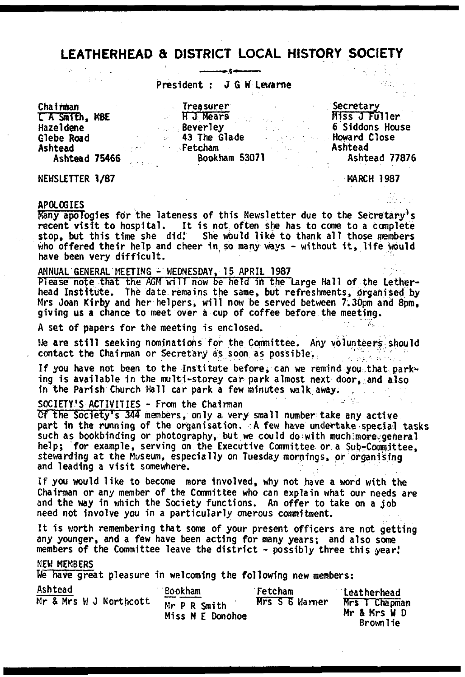### **LEATHERHEAD & DISTRICT LOCAL HISTORY SOCIETY** سنجدع لهد

President : J G W Lewarne

L'A Smith, MBE Hazeldene Glebe Road Ashtead Chairman Treasurer

H J Mears Beverley 43 The Glade Fetcham Ashtead 75466 Bookham 53071 Ashtead 77876

Secretary Miss J Fuller 6 Siddons House Howard Close Ashtead

공동 주인 inger s  $\mathcal{N}_{\mathrm{NL}}$   $\gamma$ 

NEWSLETTER 1/87 MARCH 1987

### APOLOGIES

Many apologies for the lateness of this Newsletter due to the Secretary\*s recent visit to hospital. It is not often she has to come to a complete stop, but this time she did.' She would like to thank all those members who offered their help and cheer in so many ways - without it, life would have been very difficult.

ANNUAL GENERAL MEETING - WEDNESDAY, 15 APRIL 1987

Please note that the AGM will now be held in the Large Hall of the Letherhead Institute. The date remains the same, but refreshments, organised by Mrs Joan Kirby and her helpers, will now be served between 7.30pm and 8pm. giving us a chance to meet over a cup of coffee before the meeting.

A set of papers for the meeting is enclosed.

We are still seeking nominations for the Committee. Any volunteers should contact the Chairman or Secretary as soon as possible.

If you have not been to the Institute before, can we remind you that parking is available in the multi-storey car park almost next door, and also in the Parish Church Hall car park a few minutes walk away.

SOCIETY'S ACTIVITIES - From the Chainnan

Of the Society's 344 members, only a very small number take any active part in the running of the organisation. A few have undertake special tasks such as bookbinding or photography, but we could do with much more general help; for example, serving on the Executive Committee or a Sub-Committee, stewarding at the Museum, especially on Tuesday mornings, or organising and leading a visit somewhere.

If you would like to become more involved, why not have a word with the Chairman or any member of the Committee who can explain what our needs are and the way in which the Society functions. An offer to take on a job need not involve you in a particularly onerous commitment.

It is worth remembering that some of your present officers are not getting any younger, and a few have been acting for many years; and also some members of the Committee leave the district - possibly three this year.

### NEW MEMBERS

We have great pleasure in welcoming the following new members:

| Ashtead                | Bookham                          | Fetcham               | Leatherhead                                      |
|------------------------|----------------------------------|-----------------------|--------------------------------------------------|
| Mr & Mrs W J Northcott | Mr P R Smith<br>Miss M E Donohoe | <b>Hrs S B Warner</b> | Mrs T Chapman<br>Mr & Mrs W D<br><b>Brownlie</b> |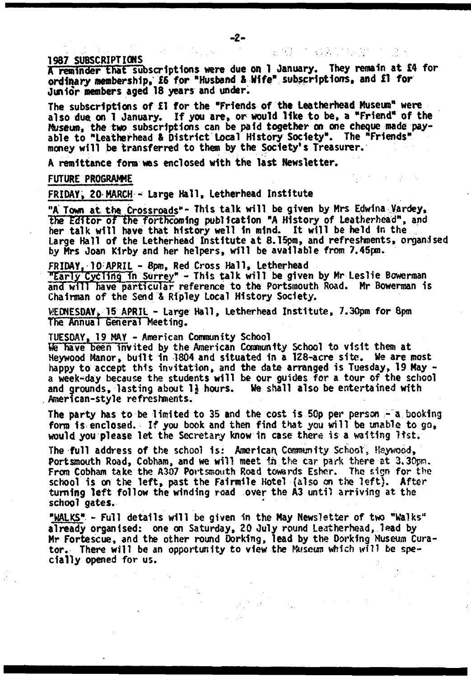A reminder that subscriptions were due on 1 January. They remain at £4 for ordinary membership, £6 for "Husband 4 Wife" subscriptions, and £1 for Junior members aged 18 years and under.

The subscriptions of £1 for the "Friends of the Leatherhead Museum" were also due on I January. If you are, or would like to be, a "Friend" of the Museum, the two subscriptions can be paid together on one cheque made payable to "Leatherhead & District Local History Society". The "Friends" money will be transferred to them by the Society' s Treasurer.

A remittance fora was enclosed with the last Newsletter.

FUTURE PROGRAMME

FRIDAY; 20 MARCH - Large Hall, letherhead Institute

"A Town at the Crossroads"- This talk will be given by Mrs Edwina Vardey, the Editor of the forthcoming publication "A History of Leatherhead", and her talk will have that history well in mind. It will be held in the Large Hall of the Letherhead Institute at 8.15pm, and refreshments, organised by Mrs Joan Kirby and her helpers, will be available from 7.45pm.

FRIDAY, 10 APRIL - 8pm, Red Cross Hall, Letherhead

"Early Cycling in Surrey" - This talk will be given by Mr Leslie Bowerman and will have particular reference to the Portsmouth Road. Mr Bowerman is Chairman of the Send & Ripley Local History Society.

WEDNESDAY, 15 APRIL - Large Hall, Letherhead Institute, 7.30pm for 8pm The Annual General Meeting.

TUESDAY, 19 MAY - American Community School

We have been invited by the American Community School to visit them at Heywood Manor, built in 1804 and situated in a 128-acre site. We are most happy to accept this invitation, and the date arranged is Tuesday, 19 May a week-day because the students will be our guides for a tour of the school and grounds, lasting about 1} hours. We shall also be entertained with American-style refreshments.

The party has to be limited to 35 and the cost is 50p per person - a booking form is enclosed. If you book and then find that you will be unable to  $g_{0}$ . would you please let the Secretary know in case there is a waiting list.

The full address of the school is: Americar\ Community School, Haywood, Portsmouth Road, Cobham, and we will meet in the car park there at 3,30pm. From Cobham take the A307 Portsmouth Road towards Esher. The sign for the school is on the left, past the Fairmile Hotel (also on the left). After turning left follow the winding road over the A3 until arriving at the school gates.

"WALKS" - Full details will be given in the May Newsletter of tws "Walks" already organised: one on Saturday, 20 July round Leatherhead, lead by Mr Fortescue, and the other round Dorking, lead by the Dorking Museum Curator. There will be an opportunity to view the Museum which will be specially opened for us.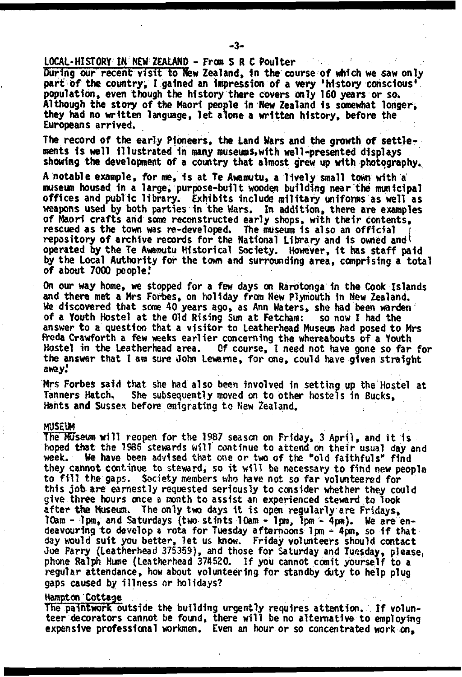LOCAL-HI STORY IN NEW ZEALAND - From S R C Poulter

During our recent visit to New Zealand, in the course of which we saw only part of the country, I gained an impression of a very 'history conscious' population, even though the history there covers only 160 years or so. Although the story of the Maori people in New Zealand Is somewhat longer, they had no written language, let aione a written history, before the Europeans arrived.

The record of the early Pioneers, the Land Wars and the growth of settlements Is well illustrated in many museums,with well-presented displays showing the development of a country that almost grew up with photography.

A notable example, for me, is at Te Awamutu, a lively small town with a museum housed in a large, purpose-built wooden building near the municipal offices and public library. Exhibits include military uniforms as well as weapons used by both parties 1n the Wars. In addition, there are examples of Maori crafts and some reconstructed early shops, with their contents, rescued as the town was re-developed. The museum is also an official repository of archive records for the National Library and is owned and operated by the Te Awamutu Historical Society. However, it has staff paid by the Local Authority for the town and surrounding area, comprising a total of about 7000 people!

On our way home, we stopped for a few days on Rarotonga in the Cook Islands and there met a Mrs Forbes, on holiday from New Plymouth in New Zealand. We discovered that some 40 years ago, as Ann Waters, she had been warden of a Youth Hostel at the Old Rising Sun at Fetcham: so now I had the answer to a question that a visitor to leatherhead Museum had posed to Mrs freda Crawforth a few weeks earlier concerning the whereabouts of a Youth Hostel in the Leatherhead area. Of course, I need not have gone so far for the answer that I am sure John Lewarne, for one, could have given straight away.'

Mrs Forbes said that she had also been involved in setting up the Hostel at Tanners Hatch. She subsequently moved on to other hostels in Bucks, Hants and Sussex before emigrating to New Zealand.

#### MUSEUM

The Museum will reopen for the 1987 season on Friday, 3 April, and it is hoped that the 1S86 stewards will continue to attend on their usual day and week. We have been advised that one or two of the "old faithfuls" find they cannot continue to steward, so it will be necessary to find new people to fill the gaps. Society members who have not so far volunteered for this job are earnestly requested seriously to consider whether they could give three hours once a month to assist an experienced steward to look after the Museum. The only two days it is open regularly are Fridays, 10am - 1pm, and Saturdays {two stints 10am - 1pm, 1pm - 4pm). We are endeavouring to develop a rota for Tuesday afternoons 1pm - 4pm, so if that day would suit you better, let us know. Friday volunteers should contact Joe Parry (leatherhead 375359), and those for Saturday and Tuesday, please; phone Ralph Hume (Leatherhead 374520. If you cannot comit yourself to a regular attendance, how about volunteering for standby duty to help plug gaps caused by illness or holidays?

#### Hampton Cottage

The paintwork outside the building urgently requires attention. If volunteer decorators Cannot be found, there will be no alternative to employing expensive professional workmen. Even an hour or so concentrated work on,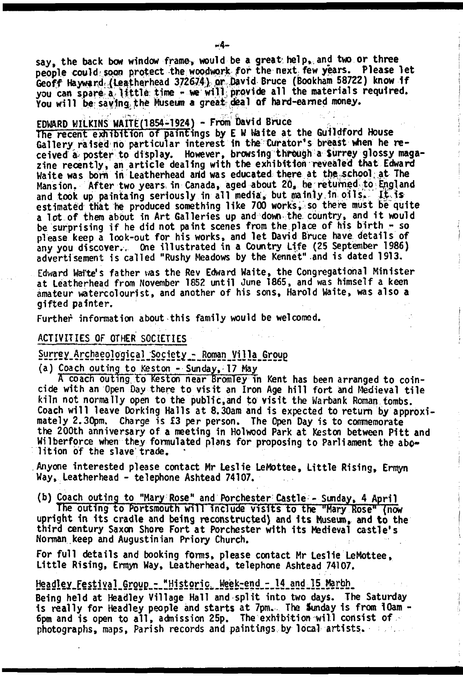say, the back bow window frame, would be a great help, and two or three people could soon protect the woodwork for the next few years. Please let Geoff Hayward (Leatherhead 372674), or David Bruce (Bookham 58722) know If you can spare a little time - we will provide all the materials required. You will be saving the Museum a great-deal of hard-earned money.

## EDWARD WILKINS WAITE(1854-1924) - From David Bruce

The recent exhibition of paintings by E W Waite at the Guildford House Gallery raised no particular interest in the Curator' s breast v\*ien he received a poster to display. However, browsing through a Surrey glossy magazine recently, an article dealing with the exhibition revealed that Edward Waite was bom in Leatherhead arid was educated there at the school, at The Mansion. After two years in Canada, aged about 20, be returned to England and took up paintaing seriously in all media, but mainly in oils. It is estimated that he produced something like 700 works, so there must be quite a lot of them about in Art Galleries up and down the country, and it would be surprising if he did not paint scenes from the place of his birth - so please keep a look-out for his works, and let David Bruce have details of any you discover.. One illustrated in a Country Life (25 September 1986) advertisement is called "Rushy Meadows by the Kennet" and is dated 1913.

Edward Waite's father was the Rev Edward Waite, the Congregational Minister at Leatherhead from November 1852 until June 1865, and was himself a keen amateur watercolourist, and another of his sons, Harold Waite, was also a gifted painter.

Further information about this family would be welcomed.

### ACTIVITIES OF OTHER SOCIETIES

Surrey Archaeological Society - Roman Villa Group

(a) Coach outing to Keston - Sunday, 17 May

A coach outing to Keston near Iromley in Kent has been arranged to coincide with an Open Day there to visit an Iron Age hill fort and Medieval tile kiln not normally open to the public,and to visit the Warbank Roman tombs. Coach will leave Dorking Halls at 8.30am and is expected to return by approximately 2.30pm. Charge is £3 per person. The Open Day is to commemorate the 200th anniversary of a meeting in Holwood Park at Keston between Pitt and Wilberforce when they formulated plans for proposing to Parliament the abolition of the slave trade.

Anyone interested please contact Mr Leslie LeMottee, Little Rising, Ernyn Way, Leatherhead - telephone Ashtead 74107.

(b) Coach outing to "Mary Rose" and Porchester Castle - Sunday, 4 April

The outing to Portsmouth will include visits to the "Mary Rose" (now upright in its cradle and being reconstructed) and its Museum, and to the third century Saxon Shore Fort at Porchester with its Medieval castle's Norman keep and Augustinian Priory Church.

For full details and booking forms, please contact Mr Leslie LeMottee, Little Rising, Ermyn Way, Leatherhead, telephone Ashtead 74107.

### Headley.Festival\_Group\_-\_"Historic,\_Week-end\_-\_14\_and\_15\_Marbh\_

Being held at Headley Village Hall and split into two days. The Saturday is really for Headley people and starts at 7pm. The Sunday 1s from 10am - 6pm and is open to all, admission 25p. The exhibition will consist of photographs, maps, Parish records and paintings by local artists.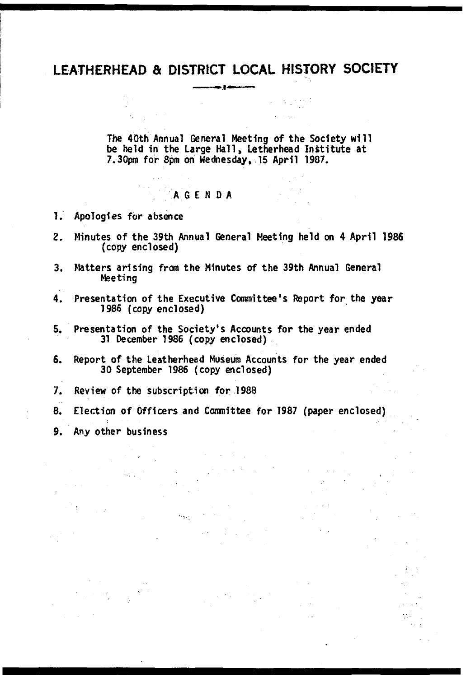### **LEATHERHEAD & DISTRICT LOCAL HISTORY SOCIETY Communication of Administration**

The 40th Annual General Meeting of the Society will be held in the Large Hall, Letherhead Institute at 7.30pm for 8pm on Wednesday, 15 April 1987.

s is a period

# A G E N D A

1. Apologies for absence

 $\mathbb{R}^{d-1}$  .

 $\mathcal{L}^{\text{max}}_{\text{max}}$  , where  $\mathcal{L}^{\text{max}}_{\text{max}}$ 

- 2. Minutes of the 39th Annual General Meeting held on 4 April 1986 (copy enclosed)
- 3. Matters arising from the Minutes of the 39th Annual General Meeting
- 4. Presentation of the Executive Committee's Report for the year 1986 (copy enclosed)
- 5. Presentation of the Society's Accounts for the year ended 31 December 1986 (copy enclosed)
- 6. Report of the Leatherhead Museum Accounts for the year ended 30 September 1986 (copy enclosed)

7. Review of the subscription for 1988

 $\label{eq:R1} \begin{split} \mathcal{P} &= \mathcal{P} \left( \mathcal{P} \right) \mathcal{P} \left( \mathcal{P} \right) \mathcal{P} \left( \mathcal{P} \right) \mathcal{P} \left( \mathcal{P} \right) \mathcal{P} \left( \mathcal{P} \right) \mathcal{P} \left( \mathcal{P} \right) \mathcal{P} \left( \mathcal{P} \right) \mathcal{P} \left( \mathcal{P} \right) \mathcal{P} \left( \mathcal{P} \right) \mathcal{P} \left( \mathcal{P} \right) \mathcal{P} \left( \mathcal{P} \right) \math$ 

an an Salaman.<br>Tagairtí

 $\label{eq:2.1} \frac{d\mu_{\rm{max}}}{d\mu_{\rm{max}}}\sim\frac{1}{\mu_{\rm{max}}}\,.$ 

**Contractor** 

 $\sim$  10  $\mu$  $\eta^{\rm eff}$  ,  $\sigma$ 

8. Election of Officers and Committee for 1987 (paper enclosed)

 $\label{eq:2.1} \frac{1}{2}\sum_{i=1}^n\frac{1}{2}\sum_{j=1}^n\frac{1}{2}\sum_{j=1}^n\frac{1}{2}\sum_{j=1}^n\frac{1}{2}\sum_{j=1}^n\frac{1}{2}\sum_{j=1}^n\frac{1}{2}\sum_{j=1}^n\frac{1}{2}\sum_{j=1}^n\frac{1}{2}\sum_{j=1}^n\frac{1}{2}\sum_{j=1}^n\frac{1}{2}\sum_{j=1}^n\frac{1}{2}\sum_{j=1}^n\frac{1}{2}\sum_{j=1}^n\frac{1}{2}\sum_{j=1}^n\$ 

 $\mathcal{L}(\mathcal{L})$  , and  $\mathcal{L}(\mathcal{L})$  , and  $\mathcal{L}(\mathcal{L})$  , and

 $\label{eq:2.1} \frac{1}{\sqrt{2}}\left(\frac{1}{\sqrt{2}}\right)^{2} \left(\frac{1}{\sqrt{2}}\right)^{2} \left(\frac{1}{\sqrt{2}}\right)^{2} \left(\frac{1}{\sqrt{2}}\right)^{2} \left(\frac{1}{\sqrt{2}}\right)^{2} \left(\frac{1}{\sqrt{2}}\right)^{2} \left(\frac{1}{\sqrt{2}}\right)^{2} \left(\frac{1}{\sqrt{2}}\right)^{2} \left(\frac{1}{\sqrt{2}}\right)^{2} \left(\frac{1}{\sqrt{2}}\right)^{2} \left(\frac{1}{\sqrt{2}}\right)^{2} \left(\$ 

state of the product  $\mathcal{L}_{\mathrm{eff}}$  ,  $\mathcal{L}_{\mathrm{eff}}$ 

9. Any other business

ang<br>Kabupatèn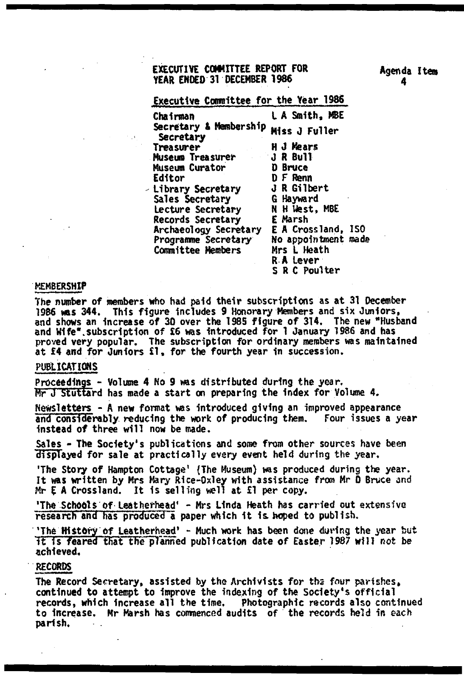### EXECUTIVE COMMITTEE REPORT FOR YEAR ENOED 31 DECEMBER 1986

Executive Committee for the Year 1986

Chairman L A Smith, MBE **Secretary** Treasurer Museum Treasurer Museum Curator Editor - Library Secretary Sales Secretary Lecture Secretary Records Secretary Archaeology Secretary Programme Secretary Conrnittee Members Secretary & Membership Miss J Fuller H *J* Mears J R Bull D Bruce D F Renn J R Gilbert G Hayward E Marsh Mrs L Heath

N H West, MBE E A Crossland, ISO No appointment made R A Lever

S R C Poulter

### **MEMBERSHIP**

The number of members who had paid their subscriptions as at 31 December 1986 was 344. This figure includes 9 Honorary Members and six Juniors,<br>and shows an increase of 30 over the 1985 figure of 314. The new "Husband and Wife".subscription of £6 was introduced for 1 January 1986 and has proved very popular. The subscription for ordinary members was maintained at £4 and for Juniors £1, for the fourth year in succession.

### PUBLICATIONS

Proceedings - Volume 4 No 9 was distributed during the year, Mr J Stuttard has made a start on preparing the index for Volume 4.

Newsletters - A new format was introduced giving an improved appearance and considerably reducing the work of producing them. Four issues a year instead of three will now be made.

Sales - The Society's publications and some from other sources have been displayed for sale at practically every event held during the year.

'The Story of Hampton Cottage' {The Museum) was produced during the year. It was written by Mrs Mary Rice-Oxley with assistance from Mr 0 Bruce and Mr E A Crossland. It is selling well at £1 per copy.

'The **Schools** Of Leatherhead' - Mrs Linda Heath has carried out extensive research and has produced a paper which it is. hoped to publish.

'The History of Leatherhead' - Much work has been done during the year but it is feared that the planned publication date of Easter 1987 will not be achieved.

### RECORDS

The Record Secretary, assisted by the Archivists for tbs four parishes, continued to attempt to Improve the indexing of the Society's official records, which increase all the time. Photographic records also continued to increase. Mr Marsh has commenced audits of the records held in each parish.

Agenda Item 4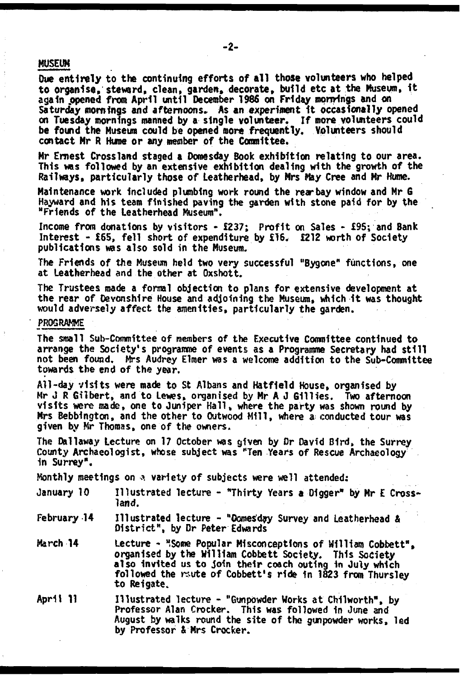### MUSEUM

Due entirely to the continuing efforts of all those volunteers who helped to organise, steward, clean, garden, decorate, build etc at the Museum, it again opened from April until December 1986 on Friday mornings and on *Saturday* mornings and afternoons. As an experiment it occasionally opened on Tuesday mornings manned by a single volunteer. If more volunteers could be found the Museum could be opened more frequently. Volunteers should contact Mr R Hume or any member of the Committee.

Mr Ernest Cross land staged a Domesday Book exhibition relating to our area. This was followed by an extensive exhibition dealing with the growth of the Railways, particularly those of Leatherhead, by Mrs May Cree and Mr Hume.

Maintenance work included plumbing work round the rear bay window and Mr G Hayward and his team finished paving the garden with stone paid for by the "Friends of the Leatherhead Museum".

Income from donations by visitors - £237; Profit on Sales - £95; and Bank Interest - £65, fell short of expenditure by £16. £212 worth of Society publications was also sold in the Museum.

The Friends of the Museum held two very successful "Bygone" functions, one at Leatherhead and the other at Oxshott.

The Trustees made a formal objection to plans for extensive development at the rear of Devonshire House and adjoining the Museum, which it was thought would adversely affect the amenities, particularly the garden.

### PROGRAMME

The small Sub-Committee of members of the Executive Committee continued to arrange the Society's programme of events as a Programme Secretary had still not been found. Mrs Audrey Elmer was a welcome addition to the Sub-Committee towards the end of the year.

All-day visits were made to St Albans and Hatfield House, organised by Hr J R Gilbert, and to Lewes, organised by Mr A J Gillies. Two afternoon visits were made, one to Juniper Kali, where the party was shown round by Mrs Bebbingtcn, and the other to Outwood Mill, where a- conducted tour was given by Mr Thomas, one of the owners.

The Dallaway Lecture on 17 October was given by Dr David Bird, the Surrey County Archaeologist, whose subject was "Ten Years of Rescue Archaeology in Surrey".

Monthly meetings on  $\alpha$  variety of subjects were well attended:

| January 10 | Illustrated lecture - "Thirty Years a Digger" by Mr E Cross- |  |  |  |  |
|------------|--------------------------------------------------------------|--|--|--|--|
|            | iand.                                                        |  |  |  |  |

February 14 Illustrated lecture - "Oomes'day Survey and Leatherhead & District", by Dr Peter Edwards

March 14 Lecture - "Some Popular Misconceptions of William Cobbett", organised by the William Cobbett Society. This Society also invited us to Join their coach outing in July which followed the raute of Cobbett's ride in 1823 from Thursley to Reigate,

April 11 Illustrated lecture - "Gunpowder Works at Chllworth", by Professor Alan Crocker. This was followed in June and August by walks round the site of the gunpowder works, led by Professor & Mrs Crocker.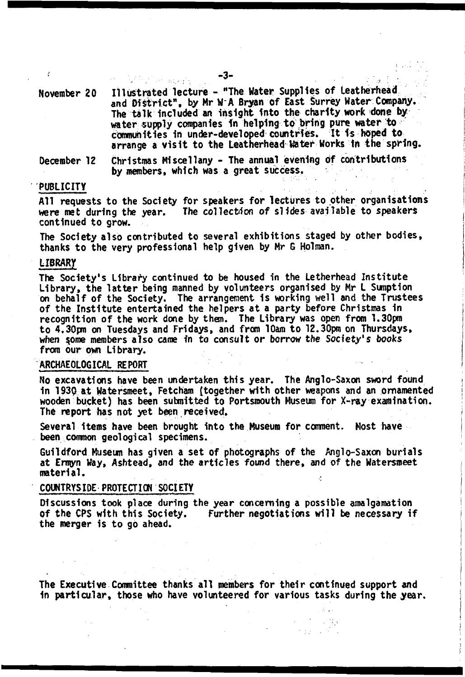November 20 Illustrated lecture - "The Mater Supplies of Leatherhead and District", by Mr W A Bryan of East Surrey Water Company. The talk included an insight into the charity work done by water supply companies fn helping to bring pure water to communities in under-developed countries. It is hoped to arrange a visit to the Leatherhead Water Works in the spring.

December 12 Christmas Miscellany - The annual evening Of contributions by members, which was a great success.

### PUBLICITY

All requests to the Society for speakers for lectures to other organisations were met during the year. The collection of slides available to speakers continued to grow.

The Society also contributed to several exhibitions staged by other bodies, thanks to the very professional help given by Mr G Holman.

### LIBRARY

The Society's Library continued to be housed in the Letherhead Institute Library, the latter being manned by volunteers organised by Mr L Sumption on behalf of the Society. The arrangement is working well and the Trustees of the Institute entertained the helpers at a party before Christmas in recognition of the work done by them. The Library was open from 1.30pm to 4.30pm on Tuesdays and Fridays, and from 10am to 12.30pm on Thursdays, when \$ome members also came fn to consult or borrow the *Society's books* from our own Library.

### ARCHAEOLOGICAL REPORT

No excavations have been undertaken this year. The Anglo-Saxon sword found in 1930 at Watersmeet, Fetcham (together with other weapons and an ornamented wooden bucket) has been submitted to Portsmouth Museum for X-ray examination. The report has not yet been received.

Several items have been brought into the Museum for comment. Most have been common geological specimens.

Guildford Museum has given a set of photographs of the Anglo-Saxon burials at Ernyn Way, Ashtead, and the articles found there, and of the Watersmeet material.

### COUNTRYSIDE PROTECTION SOCIETY

Discussions took place during the year concerning a possible amalgamation of the CPS with this Society. Further negotiations will be necessary if the merger is to go ahead.

The Executive Committee thanks all members for their continued support and in particular, those who have volunteered for various tasks during the year.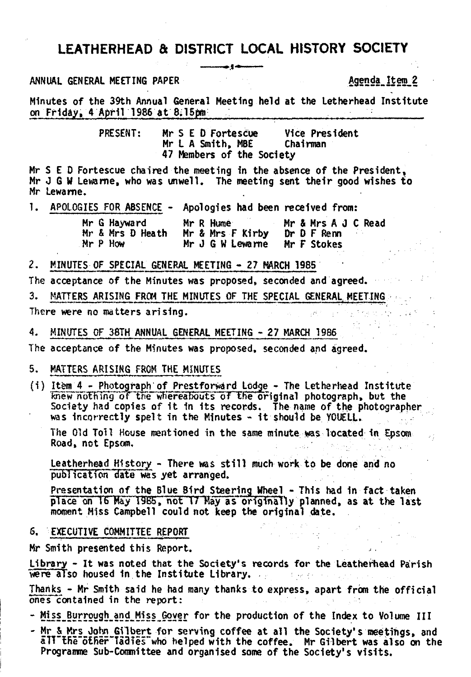### **LEATHERHEAD & DISTRICT LOCAL HISTORY SOCIETY**

### ANNUAL GENERAL MEETING PAPER 69fS Social Seconds of the Agenda Item 2

Minutes of the 39th Annual General Meeting held at the Letherhead Institute on Friday, 4 April 1986 at 8.15pm;

> PRESENT: Mr S E D Fortescue Vice President Mr L A Smith, MBE 47 Members of the Society

Mr S E D Fortescue chaired the meeting In the absence of the President, Mr J G W lewame, who was unwell. The meeting sent their good wishes to Mr Lewame.

1. APOLOGIES FOR ABSENCE - Apologies had been received from:

|  | Mr G Hayward     | Mr R Hume        | Mr & Mrs A J C Read |
|--|------------------|------------------|---------------------|
|  | Mr & Mrs D Heath | Mr & Mrs F Kirby | Dr D F Renn         |
|  | $Mr$ $P$ $How$   | Mr J G W Lewarne | Mr F Stokes         |

2. MINUTES OF SPECIAL GENERAL MEETING - 27 MARCH 1985

The acceptance of the Minutes was proposed, seconded and agreed. 3. MATTERS ARISING FROM THE MINUTES OF THE SPECIAL GENERAL MEETING There were no matters arising.

4. MINUTES OF 38TH ANNUAL GENERAL MEETING - 27 MARCH 1986

The acceptance of the Minutes was proposed, seconded and agreed.

### 5. MATTERS ARISING FROM THE MINUTES

( i ) Item 4 - Photograph of Prestforward Lodge - The letherhead Institute knew nothing of the whereabouts of the original photograph, but the Society had copies of it in its records. The name of the photographer was incorrectly spelt in the Minutes - it should be YOUELL.

The Old Toll House mentioned in the same minute was located 1n Epsom Road, not Epsom,

Leatherhead History - There was still much work to be done and no publication date was yet arranged.

Presentation of the Blue Bird Steering Wheel - This had in fact taken place on 16 May 1985, not 17 May as originally planned, as at the last moment Miss Campbell could not keep the original date.

### S. EXECUTIVE COMMITTEE REPORT

Mr Smith presented this Report.

Library - It was noted that the Society's records for the Leatherhead Parish were also housed in the Institute Library.

Thanks - Mr Smith said he had many thanks to express, apart from the official ones contained in the report:

- Miss Burrough and Miss Gover for the production of the Index to Volume III

- Mr § Mrs\_John Gilbert for serving coffee at all the Society's meetings, and alT"tBe"o€fier"Ta3Tes''who helped with the coffee. Mr Gilbert was also on the Programme Sub-Committee and organised some of the Society's visits.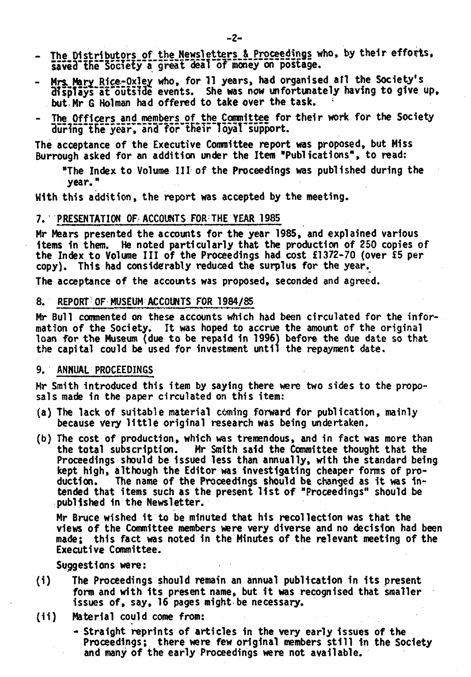- The Distributors of the Newsletters & Proceedings who, by their efforts. saved the Society a great deal of money on postage.
- Mrs. Mary Rice-Oxley who, for 11 years, had organised afl the Society's displays at outside events. She was now unfortunately having to give up, but Mr G Holman had offered to take over the task.
- The Officers and members of the Committee for their work for the Society during"the year. and for their Toyal support.

The acceptance of the Executive Committee report was proposed, but Miss Burrough asked for an addition under the Item "Publications", to read:

"The Index to Volume III of the Proceedings was published during the vear."

With this addition, the report was accepted by the meeting.

### 7. PRESENTATION OF. ACCOUNTS FOR THE YEAR 1985

Mr Mears presented the accounts for the year 1985, and explained various items in them. He noted particularly that the production of 250 copies of the Index to Volume III of the Proceedings had cost £1372-70 (over £5 per copy). This had considerably reduced the surplus for the year.

The acceptance of the accounts was proposed, seconded and agreed.

### 8. REPORT OF MUSEUM ACCOUNTS FOR 1984/85

Mr Bull commented on these accounts which had been circulated for the information of the Society. It was hoped to accrue the amount of the original loan for the Museum (due to be repaid in 1996) before the due date so that the capital could be used for investment until the repayment date.

### 9. ANNUAL PROCEEDINGS

Mr Smith introduced this item by saying there were two sides to the proposals made in the paper circulated on this item:

- (a) The lack of suitable material coming forward for publication, mainly because very little original research was being undertaken.
- (b) The cost of production, which was tremendous, and in fact was more than the total subscription. Mr Smith said the Committee thought that the Proceedings should be Issued less than annually, with the standard being kept high, although the Editor was Investigating cheaper forms of production. The name of the Proceedings should be changed as it was intended that items such as the present 11st of "Proceedings" should be published in the Newsletter.

Mr Bruce wished it to be minuted that his recollection was that the views of the Committee members were very diverse and no decision had been made; this fact was noted in the Minutes of the relevant meeting of the Executive Committee.

Suggestions were:

- (i) The Proceedings should remain an annual publication in its present form and with its present name, but it was recognised that smaller issues of, say, 16 pages might be necessary.
- (1i) Material could come from:
	- Straight reprints of articles in the very early issues of the Proceedings; there were few original members still in the Society and many of the early Proceedings were not available.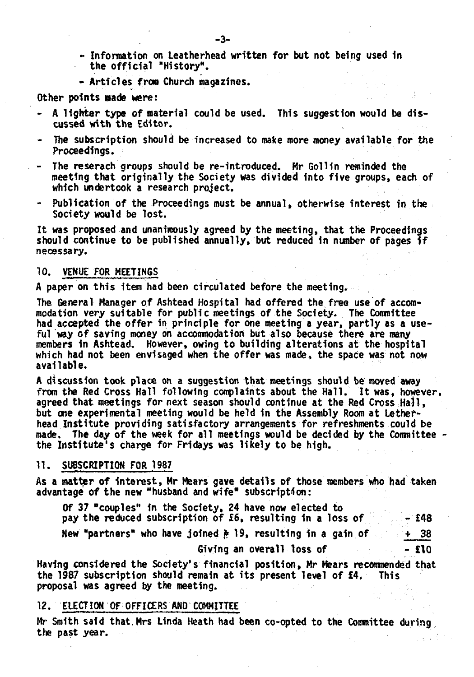- Information on Leatherhead written for but not being used 1n the official "History".
- Articles from Church magazines.

Other points made were:

- A lighter type of material could be used. This suggestion would be discussed with the Editor.
- The subscription should be increased to make more money available for the Proceedings.
- The reserach groups should be re-introduced. Mr Gollin reminded the meeting that originally the Society was divided into five groups, each of which undertook a research project.
- Publication of the Proceedings must be annual, otherwise interest in the Society would be lost.

It was proposed and unanimously agreed by the meeting, that the Proceedings should continue to be published annually, but reduced in number of pages if necessary.

### 10. VENUE FOR MEETINGS

A paper on this item had been circulated before the meeting.

The General Manager of Ashtead Hospital had offered the free use of accommodation very suitable for public meetings of the Society. The Committee had accepted the offer in principle for one meeting a year, partly as a useful way of saving money on accommodation but also because there are many members 1n Ashtead. However, owing to building alterations at the hospital which had not been envisaged when the offer was made, the space was not now available.

A discussion took place on a suggestion that meetings should be moved away from the Red Cross Hall following complaints about the Hall. It was, however, agreed that meetings for next season should continue at the Red Cross Hall, but one experimental meeting would be held in the Assembly Room at Letherhead Institute providing satisfactory arrangements for refreshments could be made. The day of the week for all meetings would be decided by the Committee the Institute's charge for Fridays was likely to be high.

### 11. SUBSCRIPTION FOR 1987

As a matter of interest, Mr Mears gave details of those members who had taken advantage of the new "husband and wife" subscription:

| Of 37 "couples" in the Society, 24 have now elected to                       |       |
|------------------------------------------------------------------------------|-------|
| pay the reduced subscription of $56$ , resulting in a loss of $\sim$ = $148$ |       |
| New "partners" who have joined $\frac{1}{2}$ 19, resulting in a gain of      | $+38$ |
| Giving an overall loss of                                                    | $-10$ |

Having considered the Society's financial position, Mr Mears recommended that the 1987 subscription should remain at its present level of £4. This proposal was agreed by the meeting.

### 12. ELECTION OF OFFICERS AND COMMITTEE

Mr Smith said that. Mrs Linda Heath had been co-opted to the Committee during the past year.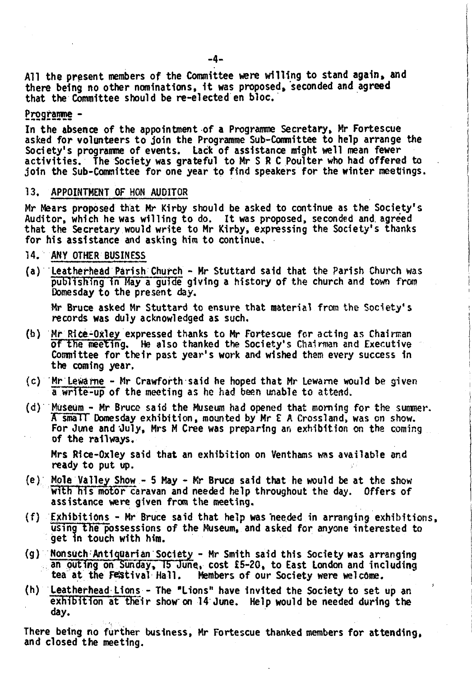A11 the present members of the Committee were willing to stand again, and there being no other nominations, it was proposed, seconded and agreed that the Committee should be re-elected en bloc.

### Programme -

In the absence of the appointment of a Programme Secretary, Mr Fortescue asked for volunteers to join the Programme Sub-Committee to help arrange the Society's programme of events. Lack of assistance might well mean fewer activities. The Society was grateful to Mr S R C Poulter who had offered to join the Sub-Committee for one year to find speakers for the winter meetings.

### 13. APPOINTMENT OF HON AUDITOR

Mr Mears proposed that Mr Kirby should be asked to continue as the Society' s Auditor, which he was willing to do. It was proposed, seconded and. agreed that the Secretary would write to Mr Kirby, expressing the Society's thanks for his assistance and asking him to continue.

- 14- ANY OTHER BUSINESS
- (a) Leatherhead Parish Church Mr Stuttard said that the Parish Church was publishing in May a guide giving a history of the church and town from Domesday to the present day.

Mr Bruce asked Mr Stuttard to ensure that material from the Society's records was duly acknowledged as such.

- (b) Mr Rice-Oxley expressed thanks to Mr Fortescue for acting as Chairman of the meeting. He also thanked the Society's Chairman and Executive Committee for their past year's work and wished them every success in the coming year.
- $(c)$  Mr Lewarne Mr Crawforth said he hoped that Mr Lewarne would be given a write-up of the meeting as he had been unable to attend.
- $(d)$  Museum Mr Bruce said the Museum had opened that morning for the summer. A small Domesday exhibition, mounted by Mr E A Crossland, was on show. For June and July, Mrs M Cree was preparing an exhibition on the coming of the railways.

Mrs Rlee-Oxley said that an exhibition on Venthams was available and ready to put up.

- (e) Mple Valley Show 5 May Kr Bruce said that he would be at the show with his motor caravan and needed help throughout the day. Offers of assistance were given from the meeting.
- $(f)$  Exhibitions Mr Bruce said that help was needed in arranging exhibitions, using the possessions of the Museum, and asked for anyone interested to get in touch with him.
- $(g)$  Nonsuch Antiquarian Society Mr Smith said this Society was arranging an outing on Sunday, 15 June, cost  $£5-20$ , to East London and including tea at the Festival Hall. Members of our Society were welcome. Members of our Society were welcome.
- (h) Leatherhead Lions The "Lions" have Invited the Society to set up an exhibition at their show on  $14$  June. Help would be needed during the day.

There being no further business, Mr Fortescue thanked members for attending, and closed the meeting.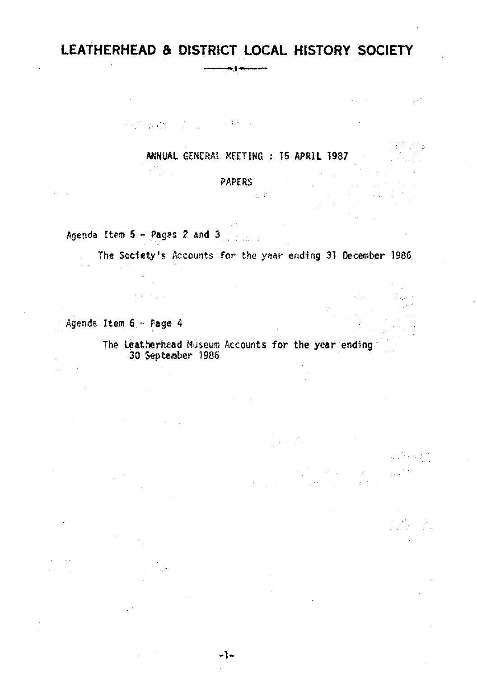### LEATHERHEAD & DISTRICT LOCAL HISTORY SOCIETY  $-$

ANNUAL GENERAL MEETING : 15 APRIL 1987

 $\sim$   $\omega$   $^{\star}$ 

 $\mathcal{L}_{\mathbf{A}}$  , where  $\mathcal{L}_{\mathbf{A}}$ 

a serika dan pendadaran dalam kelasaraan.<br>Atau di sebagai di sebagai dalam kelasaraan dalam kelasaraan dalam kelasaraan dalam kelasaraan dalam kelasaraa

 $\sim$   $\sim$ 

### PAPERS

Agenda Item 5 - Pages 2 and 3

物质 教物 计可定义 医糖心的

The Society's Accounts for the year ending 31 December 1986

Agenda Item 6 « Page 4

 $\mathbb{R}^2$ 

The Leatherhead Museum Accounts for the year ending 30 September 1986

 $\sim 10^6$ 

 $\mathbb{R}^{n \times n}$ 

**-1 -**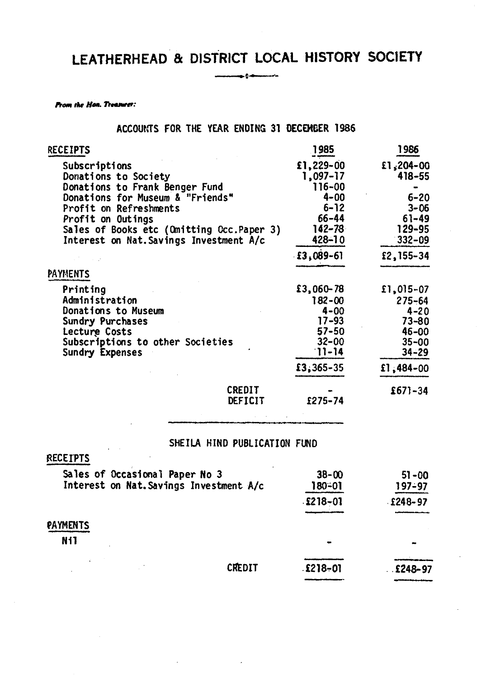# **LEATHERHEAD & DISTRICT LOCAL HISTORY SOCIETY**

<u>ing panunan</u>

*From the Hon. Treasurer:* 

ACCOUNTS FOR THE YEAR ENDING 31 DECEMBER 1386

| <b>RECEIPTS</b>                           |                              | 1985           | 1986           |
|-------------------------------------------|------------------------------|----------------|----------------|
| Subscriptions                             |                              | £1,229-00      | £1,204-00      |
| Donations to Society                      |                              | 1,097-17       | 418-55         |
| Donations to Frank Benger Fund            |                              | 116-00         |                |
| Donations for Museum & "Friends"          |                              | $4 - 00$       | $6 - 20$       |
| Profit on Refreshments                    |                              | $6 - 12$       | $3 - 06$       |
| Profit on Outings                         |                              | $66 - 44$      | $61 - 49$      |
| Sales of Books etc (Omitting Occ.Paper 3) |                              | $142 - 78$     | 129-95         |
| Interest on Nat. Savings Investment A/c   |                              | 428-10         | $332 - 09$     |
|                                           |                              | $£3,089-6]$    | £2,155-34      |
| <b>PAYMENTS</b>                           |                              |                |                |
| Printing                                  |                              | £3,060-78      | £1,015-07      |
| Administration                            |                              | $182 - 00$     | $275 - 64$     |
| Donations to Museum                       |                              | $4 - 00$       | $4 - 20$       |
| Sundry Purchases                          |                              | $17 - 93$      | $73 - 80$      |
| Lecture Costs                             |                              | $57 - 50$      | 46-00          |
| Subscriptions to other Societies          |                              | $32 - 00$      | $35 - 00$      |
| Sundry Expenses                           |                              | $11 - 14$      | $34 - 29$      |
|                                           |                              | $£3,365-35$    | $£1,484-00$    |
|                                           | CREDIT                       |                | $£671-34$      |
|                                           | DEFICIT                      | £275-74        |                |
|                                           |                              |                |                |
|                                           | SHEILA HIND PUBLICATION FUND |                |                |
| RECEIPTS                                  |                              |                |                |
| Sales of Occasional Paper No 3            |                              | $38 - 00$      | $51 - 00$      |
| Interest on Nat. Savings Investment A/c   |                              | 180-01         | 197–97         |
|                                           |                              |                |                |
|                                           |                              | $£218 - 01$    | $£248-97$      |
| PAYMENTS                                  |                              |                |                |
| N <sub>i</sub>                            |                              |                |                |
|                                           |                              |                |                |
|                                           | CREDIT                       | <b>£218-01</b> | <b>£248-97</b> |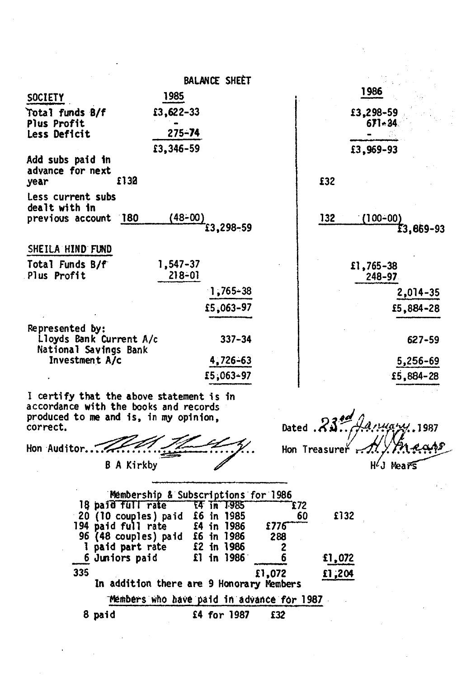|                                                                     | <b>BALANCE SHEET</b>                                                              |                              |
|---------------------------------------------------------------------|-----------------------------------------------------------------------------------|------------------------------|
| <b>SOCIETY</b>                                                      | 1985                                                                              | 1986                         |
| Total funds B/f<br>Plus Profit<br><b>Less Deficit</b>               | £3,622-33<br>$275 - 74$                                                           | £3,298-59<br>$671 - 34$      |
|                                                                     | £3,346-59                                                                         | £3,969-93                    |
| Add subs paid in<br>advance for next<br>year                        | £132                                                                              | £32                          |
| Less current subs<br>dealt with in<br>previous account 180          | (48–00)<br>$13,298 - 59$                                                          | 132<br>(100–00)<br>£3,869-93 |
| SHEILA HIND FUND                                                    |                                                                                   |                              |
| Total Funds B/f<br>Plus Profit                                      | 1,547-37<br>$218 - 01$                                                            | £1,765-38<br>248-97          |
|                                                                     | $1,765 - 38$                                                                      | 2,014-35                     |
|                                                                     | £5,063-97                                                                         | £5,884-28                    |
| Represented by:<br>Lloyds Bank Current A/c<br>National Savings Bank | $337 - 34$                                                                        | 627-59                       |
| Investment A/c                                                      | 4,726-63                                                                          | 5,256-69                     |
|                                                                     | £5,063-97                                                                         | £5,884-28                    |
| produced to me and is, in my opinion,<br>correct.                   | I certify that the above statement is in<br>accordance with the books and records | Dated $.83$<br>anuary 1987   |
| Hon Auditor.                                                        |                                                                                   | Hon Treasureř                |

B A Kirkby

 $HJ$  Mears

Membership & Subscri ptions for 1986 18 paid full rate 20 (10 couples) paid 194 paid full rate 96 (48 couples) paid 1 paid part rate 6 Juniors paid T4 In 1985 £6 in 1985 £4 in 1986 £6 in 1986 £2 in 1986 £1 in 1986 £72 60 £776--- 288 2 **6** 335 £1,072 In addition there are 9 Honorary Members Members who have paid in advance for 1987 £132 £1,072 £1,204 8 paid £4 for 1987 £32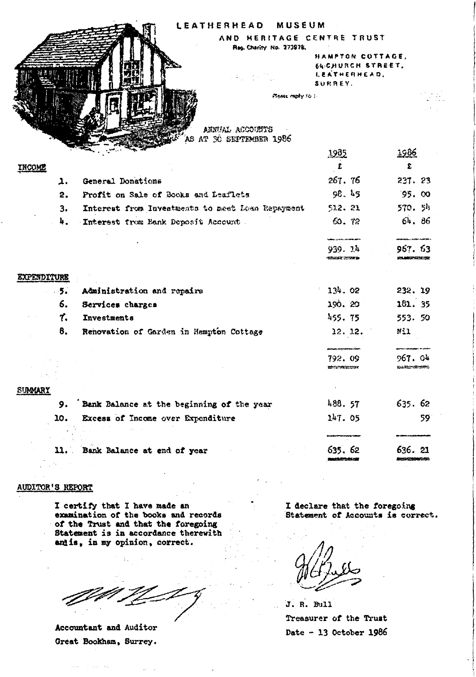|                    | LEATHERHEAD                                      | MUSEUM                                                           |                        |
|--------------------|--------------------------------------------------|------------------------------------------------------------------|------------------------|
|                    |                                                  | AND HERITAGE CENTRE TRUST                                        |                        |
|                    | Reg. Charity No. 273978.<br>aka menjadi p        | HAMPTON COTTAGE.<br>SA-CHURCH STREET.<br>LEATHERHEAD,<br>SURREY. |                        |
|                    | ANNUAL ACCOUNTS<br>s at 30 september 1986        | PTOME PADRY TO .-                                                |                        |
|                    |                                                  | <u> 1985 </u>                                                    | 1986                   |
| <b>INCOME</b>      |                                                  | £                                                                | £                      |
| ı.                 | General Donations                                | 267.76                                                           | 237.23                 |
| 2.                 | Profit on Sale of Books and Leaflets             | 98.45                                                            | 95.00                  |
| з.                 | Interest from Investments to meet Loan Repayment | 512.21                                                           | 570. 54                |
| 4.                 | Interest from Bank Deposit Account               | 60. 72                                                           | 64, 86                 |
|                    |                                                  | 939. lk<br>SOULE 20780                                           | 967.63                 |
| <b>EXPENDITURE</b> |                                                  |                                                                  |                        |
| $-5.$              | Administration and repairs                       | $-134.02$                                                        | 232, 19                |
| 6.                 | Services charges                                 | 190.20                                                           | 181. 35                |
| τ.                 | Investments                                      | 455.75                                                           | 553.50                 |
| 8.                 | Renovation of Garden in Hampton Cottage          | 12.12.                                                           | Nil                    |
|                    |                                                  | 792.09<br>120727-00222-0030                                      | 967.04<br>ಮಿಯಿಂದರಿಯಲ   |
| SUMMARY            |                                                  |                                                                  |                        |
| 9.                 | Bank Balance at the beginning of the year        | 488.57                                                           | 635.62                 |
| 10.                | Excess of Income over Expenditure                | 147.05                                                           | 59                     |
|                    |                                                  |                                                                  |                        |
|                    | 11. Bank Balance at end of year                  | 635.62                                                           | 636. 21<br>120702-0030 |

### AUDITOR'S REPORT

I certify that I have made an examination of the books and records of the Trust and that the foregoing Statement is in accordance therewith and is, in my opinion, correct.

Accountant and Auditor Great Bookham, Surrey.

 $\sim$ 

I declare that the foregoing Statement of Accounts is correct.

J. R. Bull Treasurer of the Trust Date - 13 October 1986